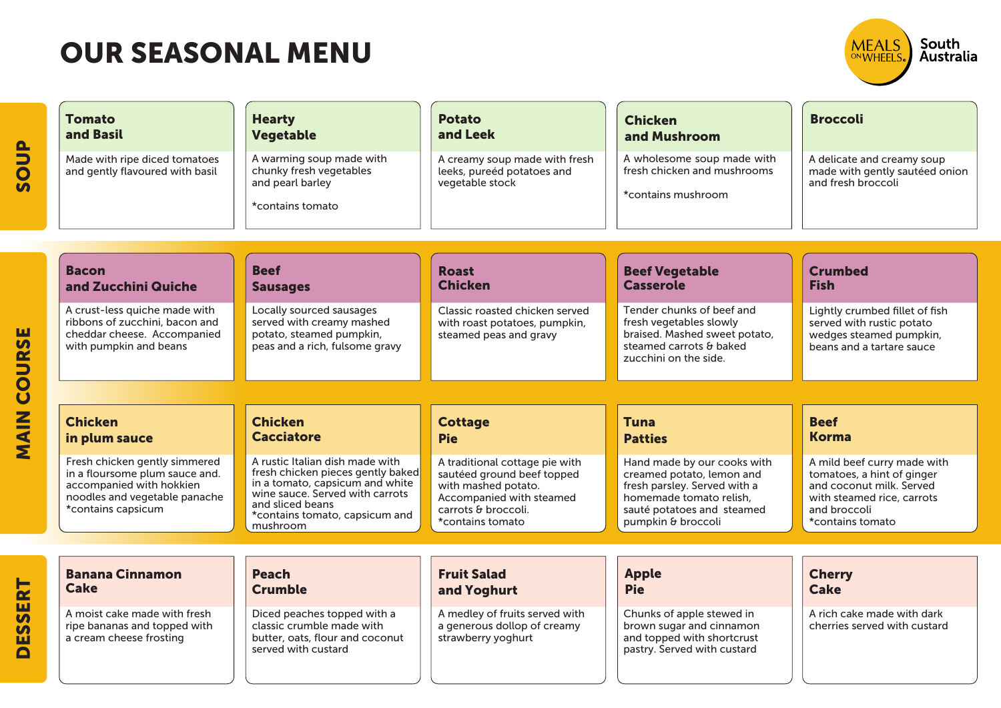

| $\mathbf{B}$<br>$\overline{\mathbf{S}}$        | <b>Tomato</b><br>and Basil<br>Made with ripe diced tomatoes<br>and gently flavoured with basil                                                     | <b>Hearty</b><br><b>Vegetable</b><br>A warming soup made with<br>chunky fresh vegetables<br>and pearl barley<br>*contains tomato                                                                             | <b>Potato</b><br>and Leek<br>A creamy soup made with fresh<br>leeks, pureéd potatoes and<br>vegetable stock                                                | <b>Chicken</b><br>and Mushroom<br>A wholesome soup made with<br>fresh chicken and mushrooms<br>*contains mushroom                                                       | <b>Broccoli</b><br>A delicate and creamy soup<br>made with gently sautéed onion<br>and fresh broccoli                                                   |
|------------------------------------------------|----------------------------------------------------------------------------------------------------------------------------------------------------|--------------------------------------------------------------------------------------------------------------------------------------------------------------------------------------------------------------|------------------------------------------------------------------------------------------------------------------------------------------------------------|-------------------------------------------------------------------------------------------------------------------------------------------------------------------------|---------------------------------------------------------------------------------------------------------------------------------------------------------|
|                                                | <b>Bacon</b><br>and Zucchini Quiche                                                                                                                | <b>Beef</b><br><b>Sausages</b>                                                                                                                                                                               | <b>Roast</b><br><b>Chicken</b>                                                                                                                             | <b>Beef Vegetable</b><br><b>Casserole</b>                                                                                                                               | <b>Crumbed</b><br><b>Fish</b>                                                                                                                           |
| ш<br>$\overline{u}$                            | A crust-less quiche made with<br>ribbons of zucchini, bacon and<br>cheddar cheese. Accompanied<br>with pumpkin and beans                           | Locally sourced sausages<br>served with creamy mashed<br>potato, steamed pumpkin,<br>peas and a rich, fulsome gravy                                                                                          | Classic roasted chicken served<br>with roast potatoes, pumpkin,<br>steamed peas and gravy                                                                  | Tender chunks of beef and<br>fresh vegetables slowly<br>braised. Mashed sweet potato,<br>steamed carrots & baked<br>zucchini on the side.                               | Lightly crumbed fillet of fish<br>served with rustic potato<br>wedges steamed pumpkin,<br>beans and a tartare sauce                                     |
| <b>COUR</b>                                    |                                                                                                                                                    |                                                                                                                                                                                                              |                                                                                                                                                            |                                                                                                                                                                         |                                                                                                                                                         |
| MAIN                                           | <b>Chicken</b><br>in plum sauce                                                                                                                    | <b>Chicken</b><br><b>Cacciatore</b>                                                                                                                                                                          | <b>Cottage</b><br><b>Pie</b>                                                                                                                               | <b>Tuna</b><br><b>Patties</b>                                                                                                                                           | <b>Beef</b><br><b>Korma</b>                                                                                                                             |
|                                                | Fresh chicken gently simmered<br>in a floursome plum sauce and.<br>accompanied with hokkien<br>noodles and vegetable panache<br>*contains capsicum | A rustic Italian dish made with<br>fresh chicken pieces gently baked<br>in a tomato, capsicum and white<br>wine sauce. Served with carrots<br>and sliced beans<br>*contains tomato, capsicum and<br>mushroom | A traditional cottage pie with<br>sautéed ground beef topped<br>with mashed potato.<br>Accompanied with steamed<br>carrots & broccoli.<br>*contains tomato | Hand made by our cooks with<br>creamed potato, lemon and<br>fresh parsley. Served with a<br>homemade tomato relish,<br>sauté potatoes and steamed<br>pumpkin & broccoli | A mild beef curry made with<br>tomatoes, a hint of ginger<br>and coconut milk. Served<br>with steamed rice, carrots<br>and broccoli<br>*contains tomato |
|                                                |                                                                                                                                                    |                                                                                                                                                                                                              |                                                                                                                                                            |                                                                                                                                                                         |                                                                                                                                                         |
| SERT                                           | <b>Banana Cinnamon</b><br><b>Cake</b>                                                                                                              | <b>Peach</b><br><b>Crumble</b>                                                                                                                                                                               | <b>Fruit Salad</b><br>and Yoghurt                                                                                                                          | <b>Apple</b><br><b>Pie</b>                                                                                                                                              | <b>Cherry</b><br><b>Cake</b>                                                                                                                            |
| $\overline{\mathbf{S}}$<br>ш<br>$\blacksquare$ | A moist cake made with fresh<br>ripe bananas and topped with<br>a cream cheese frosting                                                            | Diced peaches topped with a<br>classic crumble made with<br>butter, oats, flour and coconut<br>served with custard                                                                                           | A medley of fruits served with<br>a generous dollop of creamy<br>strawberry yoghurt                                                                        | Chunks of apple stewed in<br>brown sugar and cinnamon<br>and topped with shortcrust<br>pastry. Served with custard                                                      | A rich cake made with dark<br>cherries served with custard                                                                                              |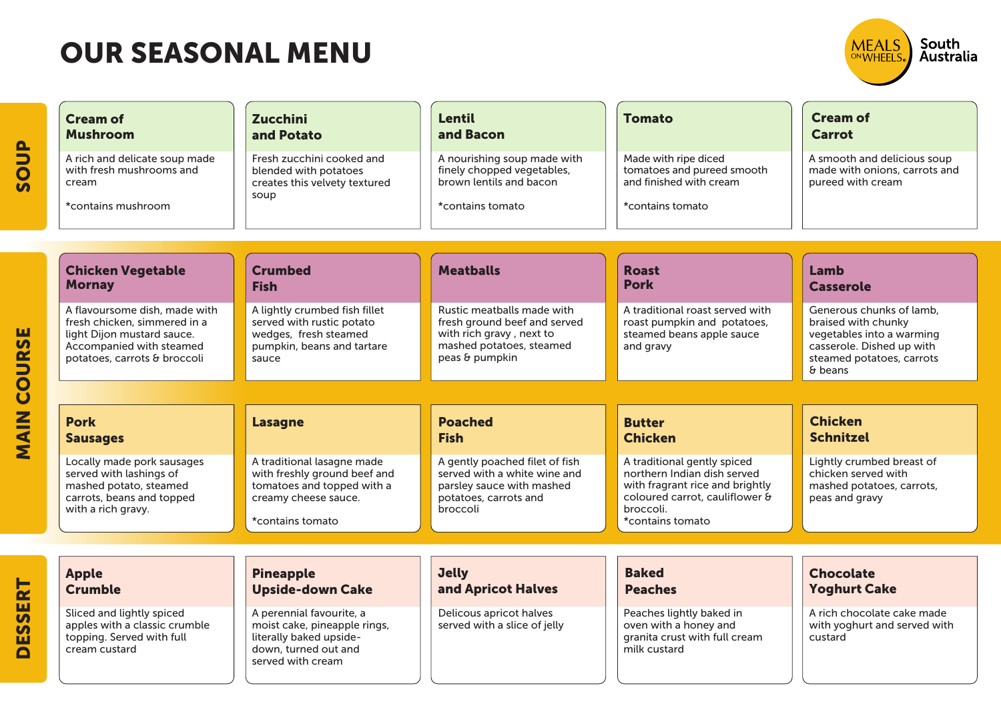DESSERT

DESSERT



Yoghurt Cake

custard

A rich chocolate cake made with yoghurt and served with

| <b>Cream of</b><br><b>Mushroom</b>                                                                                                                      | <b>Zucchini</b><br>and Potato                                                                                                        | <b>Lentil</b><br>and Bacon                                                                                                           | <b>Tomato</b>                                                                                                                                                    | <b>Cream of</b><br><b>Carrot</b>                                                                                                                  |
|---------------------------------------------------------------------------------------------------------------------------------------------------------|--------------------------------------------------------------------------------------------------------------------------------------|--------------------------------------------------------------------------------------------------------------------------------------|------------------------------------------------------------------------------------------------------------------------------------------------------------------|---------------------------------------------------------------------------------------------------------------------------------------------------|
| A rich and delicate soup made<br>with fresh mushrooms and<br>cream<br>*contains mushroom                                                                | Fresh zucchini cooked and<br>blended with potatoes<br>creates this velvety textured<br>soup                                          | A nourishing soup made with<br>finely chopped vegetables,<br>brown lentils and bacon<br>*contains tomato                             | Made with ripe diced<br>tomatoes and pureed smooth<br>and finished with cream<br>*contains tomato                                                                | A smooth and delicious soup<br>made with onions, carrots and<br>pureed with cream                                                                 |
|                                                                                                                                                         |                                                                                                                                      |                                                                                                                                      |                                                                                                                                                                  |                                                                                                                                                   |
| <b>Chicken Vegetable</b><br><b>Mornay</b>                                                                                                               | <b>Crumbed</b><br><b>Fish</b>                                                                                                        | <b>Meatballs</b>                                                                                                                     | <b>Roast</b><br><b>Pork</b>                                                                                                                                      | Lamb<br><b>Casserole</b>                                                                                                                          |
| A flavoursome dish, made with<br>fresh chicken, simmered in a<br>light Dijon mustard sauce.<br>Accompanied with steamed<br>potatoes, carrots & broccoli | A lightly crumbed fish fillet<br>served with rustic potato<br>wedges, fresh steamed<br>pumpkin, beans and tartare<br>sauce           | Rustic meatballs made with<br>fresh ground beef and served<br>with rich gravy, next to<br>mashed potatoes, steamed<br>peas & pumpkin | A traditional roast served with<br>roast pumpkin and potatoes,<br>steamed beans apple sauce<br>and gravy                                                         | Generous chunks of lamb.<br>braised with chunky<br>vegetables into a warming<br>casserole. Dished up with<br>steamed potatoes, carrots<br>& beans |
|                                                                                                                                                         |                                                                                                                                      |                                                                                                                                      |                                                                                                                                                                  |                                                                                                                                                   |
| <b>Pork</b><br><b>Sausages</b>                                                                                                                          | <b>Lasagne</b>                                                                                                                       | <b>Poached</b><br><b>Fish</b>                                                                                                        | <b>Butter</b><br><b>Chicken</b>                                                                                                                                  | <b>Chicken</b><br><b>Schnitzel</b>                                                                                                                |
| Locally made pork sausages<br>served with lashings of<br>mashed potato, steamed<br>carrots, beans and topped<br>with a rich gravy.                      | A traditional lasagne made<br>with freshly ground beef and<br>tomatoes and topped with a<br>creamy cheese sauce.<br>*contains tomato | A gently poached filet of fish<br>served with a white wine and<br>parsley sauce with mashed<br>potatoes, carrots and<br>broccoli     | A traditional gently spiced<br>northern Indian dish served<br>with fragrant rice and brightly<br>coloured carrot, cauliflower &<br>broccoli.<br>*contains tomato | Lightly crumbed breast of<br>chicken served with<br>mashed potatoes, carrots,<br>peas and gravy                                                   |
|                                                                                                                                                         |                                                                                                                                      |                                                                                                                                      |                                                                                                                                                                  |                                                                                                                                                   |
| <b>Apple</b>                                                                                                                                            | <b>Pineapple</b>                                                                                                                     | <b>Jelly</b>                                                                                                                         | <b>Baked</b>                                                                                                                                                     | <b>Chocolate</b>                                                                                                                                  |

| <b>Apple</b>                                                                                             | <b>Pineapple</b>                                                                                                                 | <b>Jelly</b>                                            | <b>Baked</b>                                                                                       |
|----------------------------------------------------------------------------------------------------------|----------------------------------------------------------------------------------------------------------------------------------|---------------------------------------------------------|----------------------------------------------------------------------------------------------------|
| <b>Crumble</b>                                                                                           | <b>Upside-down Cake</b>                                                                                                          | and Apricot Halves                                      | <b>Peaches</b>                                                                                     |
| Sliced and lightly spiced<br>apples with a classic crumble<br>topping. Served with full<br>cream custard | A perennial favourite, a<br>moist cake, pineapple rings,<br>literally baked upside-<br>down, turned out and<br>served with cream | Delicous apricot halves<br>served with a slice of jelly | Peaches lightly baked in<br>oven with a honey and<br>granita crust with full cream<br>milk custard |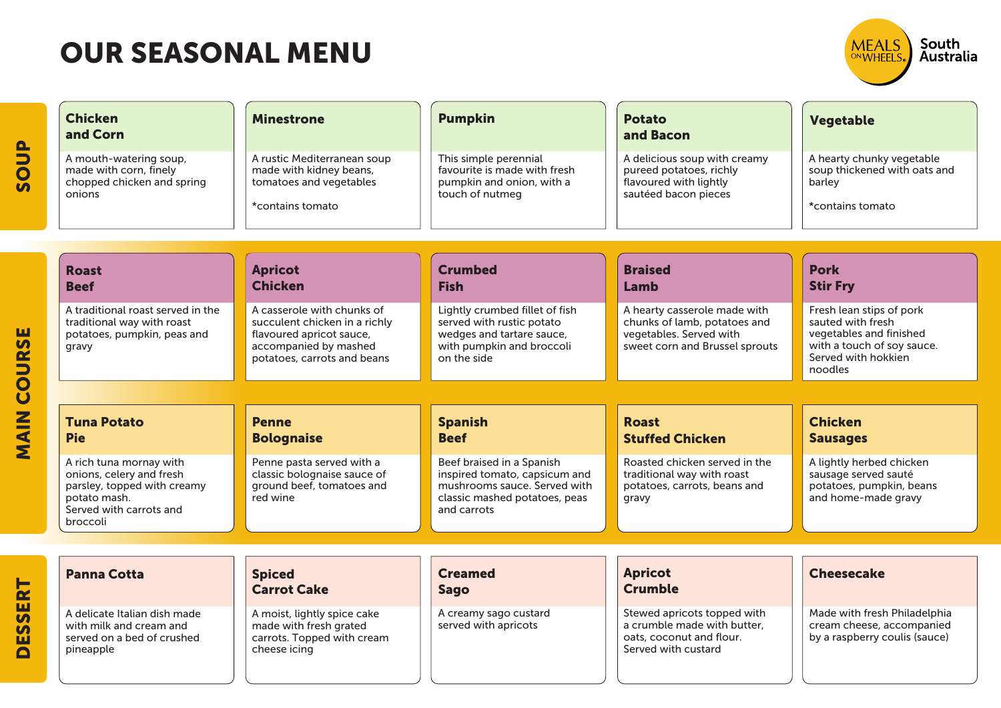

| <b>SOUP</b>                                    | <b>Chicken</b><br>and Corn<br>A mouth-watering soup,<br>made with corn, finely<br>chopped chicken and spring<br>onions                    | <b>Minestrone</b><br>A rustic Mediterranean soup<br>made with kidney beans,<br>tomatoes and vegetables<br>*contains tomato                      | <b>Pumpkin</b><br>This simple perennial<br>favourite is made with fresh<br>pumpkin and onion, with a<br>touch of nutmeg                    | <b>Potato</b><br>and Bacon<br>A delicious soup with creamy<br>pureed potatoes, richly<br>flavoured with lightly<br>sautéed bacon pieces | <b>Vegetable</b><br>A hearty chunky vegetable<br>soup thickened with oats and<br>barley<br>*contains tomato                              |
|------------------------------------------------|-------------------------------------------------------------------------------------------------------------------------------------------|-------------------------------------------------------------------------------------------------------------------------------------------------|--------------------------------------------------------------------------------------------------------------------------------------------|-----------------------------------------------------------------------------------------------------------------------------------------|------------------------------------------------------------------------------------------------------------------------------------------|
|                                                | <b>Roast</b><br><b>Beef</b>                                                                                                               | <b>Apricot</b><br><b>Chicken</b>                                                                                                                | <b>Crumbed</b><br><b>Fish</b>                                                                                                              | <b>Braised</b><br>Lamb                                                                                                                  | <b>Pork</b><br><b>Stir Fry</b>                                                                                                           |
| COURSE                                         | A traditional roast served in the<br>traditional way with roast<br>potatoes, pumpkin, peas and<br>gravy                                   | A casserole with chunks of<br>succulent chicken in a richly<br>flavoured apricot sauce,<br>accompanied by mashed<br>potatoes, carrots and beans | Lightly crumbed fillet of fish<br>served with rustic potato<br>wedges and tartare sauce,<br>with pumpkin and broccoli<br>on the side       | A hearty casserole made with<br>chunks of lamb, potatoes and<br>vegetables. Served with<br>sweet corn and Brussel sprouts               | Fresh lean stips of pork<br>sauted with fresh<br>vegetables and finished<br>with a touch of soy sauce.<br>Served with hokkien<br>noodles |
|                                                |                                                                                                                                           |                                                                                                                                                 |                                                                                                                                            |                                                                                                                                         |                                                                                                                                          |
| MAIN                                           | <b>Tuna Potato</b><br><b>Pie</b>                                                                                                          | <b>Penne</b><br><b>Bolognaise</b>                                                                                                               | <b>Spanish</b><br><b>Beef</b>                                                                                                              | <b>Roast</b><br><b>Stuffed Chicken</b>                                                                                                  | <b>Chicken</b><br><b>Sausages</b>                                                                                                        |
|                                                | A rich tuna mornay with<br>onions, celery and fresh<br>parsley, topped with creamy<br>potato mash.<br>Served with carrots and<br>broccoli | Penne pasta served with a<br>classic bolognaise sauce of<br>ground beef, tomatoes and<br>red wine                                               | Beef braised in a Spanish<br>inspired tomato, capsicum and<br>mushrooms sauce. Served with<br>classic mashed potatoes, peas<br>and carrots | Roasted chicken served in the<br>traditional way with roast<br>potatoes, carrots, beans and<br>gravy                                    | A lightly herbed chicken<br>sausage served sauté<br>potatoes, pumpkin, beans<br>and home-made gravy                                      |
|                                                |                                                                                                                                           |                                                                                                                                                 |                                                                                                                                            |                                                                                                                                         |                                                                                                                                          |
| SERT                                           | <b>Panna Cotta</b>                                                                                                                        | <b>Spiced</b><br><b>Carrot Cake</b>                                                                                                             | <b>Creamed</b><br><b>Sago</b>                                                                                                              | <b>Apricot</b><br><b>Crumble</b>                                                                                                        | <b>Cheesecake</b>                                                                                                                        |
| $\overline{\mathbf{S}}$<br>ш<br>$\blacksquare$ | A delicate Italian dish made<br>with milk and cream and<br>served on a bed of crushed<br>pineapple                                        | A moist, lightly spice cake<br>made with fresh grated<br>carrots. Topped with cream<br>cheese icing                                             | A creamy sago custard<br>served with apricots                                                                                              | Stewed apricots topped with<br>a crumble made with butter,<br>oats, coconut and flour.<br>Served with custard                           | Made with fresh Philadelphia<br>cream cheese, accompanied<br>by a raspberry coulis (sauce)                                               |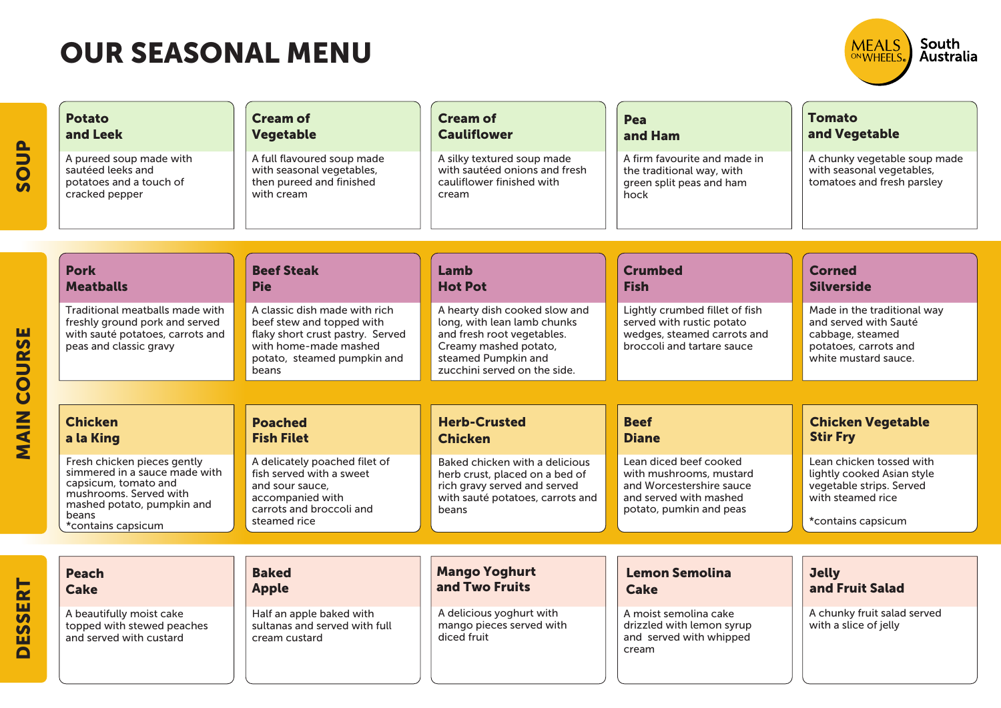

| $\mathbf{B}$<br>S <sub>o</sub> | <b>Potato</b><br>and Leek<br>A pureed soup made with<br>sautéed leeks and<br>potatoes and a touch of<br>cracked pepper                                | <b>Cream of</b><br><b>Vegetable</b><br>A full flavoured soup made<br>with seasonal vegetables,<br>then pureed and finished<br>with cream                        | <b>Cream of</b><br><b>Cauliflower</b><br>A silky textured soup made<br>with sautéed onions and fresh<br>cauliflower finished with<br>cream                                 | Pea<br>and Ham<br>A firm favourite and made in<br>the traditional way, with<br>green split peas and ham<br>hock                    | <b>Tomato</b><br>and Vegetable<br>A chunky vegetable soup made<br>with seasonal vegetables,<br>tomatoes and fresh parsley |
|--------------------------------|-------------------------------------------------------------------------------------------------------------------------------------------------------|-----------------------------------------------------------------------------------------------------------------------------------------------------------------|----------------------------------------------------------------------------------------------------------------------------------------------------------------------------|------------------------------------------------------------------------------------------------------------------------------------|---------------------------------------------------------------------------------------------------------------------------|
|                                | <b>Pork</b><br><b>Meatballs</b>                                                                                                                       | <b>Beef Steak</b><br><b>Pie</b>                                                                                                                                 | Lamb<br><b>Hot Pot</b>                                                                                                                                                     | <b>Crumbed</b><br><b>Fish</b>                                                                                                      | <b>Corned</b><br><b>Silverside</b>                                                                                        |
| ш<br><b>COURS</b>              | Traditional meatballs made with<br>freshly ground pork and served<br>with sauté potatoes, carrots and<br>peas and classic gravy                       | A classic dish made with rich<br>beef stew and topped with<br>flaky short crust pastry. Served<br>with home-made mashed<br>potato, steamed pumpkin and<br>beans | A hearty dish cooked slow and<br>long, with lean lamb chunks<br>and fresh root vegetables.<br>Creamy mashed potato,<br>steamed Pumpkin and<br>zucchini served on the side. | Lightly crumbed fillet of fish<br>served with rustic potato<br>wedges, steamed carrots and<br>broccoli and tartare sauce           | Made in the traditional way<br>and served with Sauté<br>cabbage, steamed<br>potatoes, carrots and<br>white mustard sauce. |
|                                |                                                                                                                                                       |                                                                                                                                                                 |                                                                                                                                                                            |                                                                                                                                    |                                                                                                                           |
| <b>MAIN</b>                    | <b>Chicken</b><br>a la King                                                                                                                           | <b>Poached</b><br><b>Fish Filet</b>                                                                                                                             | <b>Herb-Crusted</b><br><b>Chicken</b>                                                                                                                                      | <b>Beef</b><br><b>Diane</b>                                                                                                        | <b>Chicken Vegetable</b><br><b>Stir Fry</b>                                                                               |
|                                | Fresh chicken pieces gently<br>simmered in a sauce made with<br>capsicum, tomato and<br>mushrooms. Served with<br>mashed potato, pumpkin and<br>beans | A delicately poached filet of<br>fish served with a sweet<br>and sour sauce,<br>accompanied with<br>carrots and broccoli and                                    | Baked chicken with a delicious<br>herb crust, placed on a bed of<br>rich gravy served and served<br>with sauté potatoes, carrots and<br>beans                              | Lean diced beef cooked<br>with mushrooms, mustard<br>and Worcestershire sauce<br>and served with mashed<br>potato, pumkin and peas | Lean chicken tossed with<br>lightly cooked Asian style<br>vegetable strips. Served<br>with steamed rice                   |
|                                | *contains capsicum                                                                                                                                    | steamed rice                                                                                                                                                    |                                                                                                                                                                            |                                                                                                                                    | *contains capsicum                                                                                                        |
| SERT                           | <b>Peach</b><br><b>Cake</b>                                                                                                                           | <b>Baked</b><br><b>Apple</b>                                                                                                                                    | <b>Mango Yoghurt</b><br>and Two Fruits                                                                                                                                     | <b>Lemon Semolina</b><br><b>Cake</b>                                                                                               | <b>Jelly</b><br>and Fruit Salad                                                                                           |
| ES<br>$\blacksquare$           | A beautifully moist cake<br>topped with stewed peaches<br>and served with custard                                                                     | Half an apple baked with<br>sultanas and served with full<br>cream custard                                                                                      | A delicious yoghurt with<br>mango pieces served with<br>diced fruit                                                                                                        | A moist semolina cake<br>drizzled with lemon syrup<br>and served with whipped<br>cream                                             | A chunky fruit salad served<br>with a slice of jelly                                                                      |